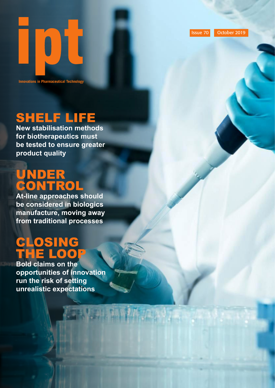Issue 70 October 2019

## SHELF LIFE

**Innovations in Pharmaceutical Technology**

IOU

**New stabilisation methods for biotherapeutics must be tested to ensure greater product quality**

## UNDER CONTROL

**At-line approaches should be considered in biologics manufacture, moving away from traditional processes** 

## CLOSING THE LOOP

**Bold claims on the opportunities of innovation run the risk of setting unrealistic expectations**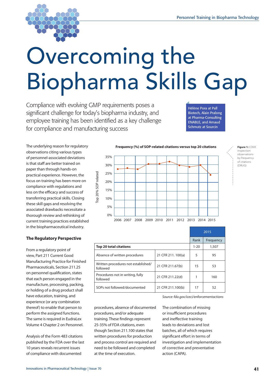

# Overcoming the Biopharma Skills Gap

Compliance with evolving GMP requirements poses a significant challenge for today's biopharma industry, and employee training has been identified as a key challenge for compliance and manufacturing success

Hélène Pora at Pall Biotech, Alain Pralong at Pharma-Consulting ENABLE, and Arnaud Schmutz at Sourcin

The underlying reason for regulatory observations citing various types of personnel-associated deviations is that staff are better trained on paper than through hands-on practical experience. However, the focus on training has been more on compliance with regulations and less on the efficacy and success of transferring practical skills. Closing these skill gaps and resolving the associated drawbacks necessitate a thorough review and rethinking of current training practices established in the biopharmaceutical industry.

#### **The Regulatory Perspective**

From a regulatory point of view, Part 211 Current Good Manufacturing Practice for Finished Pharmaceuticals, Section 211.25 on personnel qualification, states that each person engaged in the manufacture, processing, packing, or holding of a drug product shall have education, training, and experience (or any combination thereof) to enable that person to perform the assigned functions. The same is required in EudraLex Volume 4 Chapter 2 on Personnel.

Analysis of the Form 483 citations published by the FDA over the last 10 years reveals recurrent issues of compliance with documented



|                                                 |                    | 2015     |           |
|-------------------------------------------------|--------------------|----------|-----------|
|                                                 |                    | Rank     | Frequency |
| <b>Top 20 total citations</b>                   |                    | $1 - 20$ | 1,507     |
| Absence of written procedures                   | 21 CFR 211. 100(a) | 5        | 95        |
| Written procedures not established/<br>followed | 21 CFR 211.67(b)   | 15       | 53        |
| Procedures not in writing, fully<br>followed    | 21 CFR 211.22(d)   |          | 160       |
| SOPs not followed/documented                    | 21 CFR 211.100(b)  | 17       | 52        |

*Source: fda.gov/iceci/enforcementactions*

procedures, absence of documented procedures, and/or adequate training. These findings represent 25-35% of FDA citations, even though Section 211.100 states that written procedures for production and process control are required and need to be followed and completed at the time of execution.

The combination of missing or insufficient procedures and ineffective training leads to deviations and lost batches, all of which requires significant effort in terms of investigation and implementation of corrective and preventative action (CAPA).

**Figure 1:** CDER inspection observations by frequency of citations (DRUG)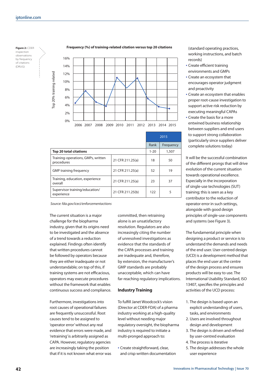#### **Figure 2:** CDER inspection observations by frequency of citations (DRUG)

Top 20% training related

Top 20% training related

#### **Frequency (%) of training-related citation versus top 20 citations**



|                                                  |                  | 2015     |           |
|--------------------------------------------------|------------------|----------|-----------|
|                                                  |                  | Rank     | Frequency |
| <b>Top 20 total citations</b>                    |                  | $1 - 20$ | 1,507     |
| Training-operations, GMPs, written<br>procedures | 21 CFR 211.25(a) | 18       | 50        |
| <b>GMP training frequency</b>                    | 21 CFR 211.25(a) | 52       | 19        |
| Training, education, experience<br>overall       | 21 CFR 211.25(a) | 23       | 37        |
| Supervisor training/education/<br>experience     | 21 CFR 211.25(b) | 122      | 5         |

*Source: fda.gov/iceci/enforcementactions*

The current situation is a major challenge for the biopharma industry, given that its origins need to be investigated and the absence of a trend towards a reduction explained. Findings often identify that written procedures cannot be followed by operators because they are either inadequate or not understandable; on top of this, if training systems are not efficacious, operators may execute procedures without the framework that enables continuous success and compliance.

Furthermore, investigations into root causes of operational failures are frequently unsuccessful. Root causes tend to be assigned to 'operator error' without any real evidence that errors were made, and 'retraining' is arbitrarily assigned as CAPA. However, regulatory agencies are increasingly taking the position that if it is not known what error was committed, then retraining alone is an unsatisfactory resolution. Regulators are also increasingly citing the number of unresolved investigations as evidence that the standards of the CAPA processes and training are inadequate and, therefore, by extension, the manufacturer's GMP standards are probably unacceptable, which can have far-reaching regulatory implications.

#### **Industry Training**

To fulfill Janet Woodcock's vision (Director at CDER-FDA) of a pharma industry working at a high-quality level without needing major regulatory oversight, the biopharma industry is required to initiate a multi-pronged approach to:

• Create straightforward, clear, and crisp written documentation (standard operating practices, working instructions, and batch records)

- Create efficient training environments and GMPs
- Create an ecosystem that encourages operator judgment and proactivity
- Create an ecosystem that enables proper root-cause investigation to support active risk reduction by executing meaningful CAPAs
- Create the basis for a more entwined business relationship between suppliers and end users to support strong collaboration (particularly since suppliers deliver complete solutions today)

It will be the successful combination of the different prongs that will drive evolution of the current situation towards operational excellence. Especially in the incorporation of single-use technologies (SUT) training; this is seen as a key contributor to the reduction of operator error in such settings, alongside with good design principles of single-use components and systems (see Figure 3).

The fundamental principle when designing a product or service is to understand the demands and needs of the end user. User-centred design (UCD) is a development method that places the end user at the centre of the design process and ensures products will be easy to use. The International Usability Standard, ISO 13407, specifies the principles and activities of the UCD process:

- 1. The design is based upon an explicit understanding of users, tasks, and environments
- 2. Users are involved throughout design and development
- 3. The design is driven and refined by user-centred evaluation
- 4. The process is iterative
- 5. The design addresses the whole user experience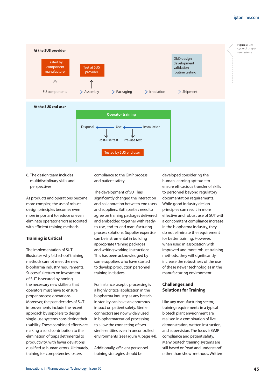

6. The design team includes multidisciplinary skills and perspectives

As products and operations become more complex, the use of robust design principles becomes even more important to reduce or even eliminate operator errors associated with efficient training methods.

#### **Training is Critical**

The implementation of SUT illustrates why 'old school' training methods cannot meet the new biopharma industry requirements. Successful return on investment of SUT is secured by honing the necessary new skillsets that operators must have to ensure proper process operations. Moreover, the past decades of SUT improvements include the recent approach by suppliers to design single-use systems considering their usability. These combined efforts are making a solid contribution to the elimination of traps detrimental to productivity, with fewer deviations qualified as human errors. Ultimately, training for competencies fosters

compliance to the GMP process and patient safety.

The development of SUT has significantly changed the interaction and collaboration between end users and suppliers. Both parties need to agree on training packages delivered and embedded together with readyto-use, end-to-end manufacturing process solutions. Supplier expertise can be instrumental in building appropriate training packages and writing working instructions. This has been acknowledged by some suppliers who have started to develop production personnel training initiatives.

For instance, aseptic processing is a highly critical application in the biopharma industry as any breach in sterility can have an enormous impact on patient safety. Sterile connectors are now widely used in biopharmaceutical processing to allow the connecting of two sterile entities even in uncontrolled environments (see Figure 4, page 44).

Additionally, efficient personnel training strategies should be

developed considering the human learning aptitude to ensure efficacious transfer of skills to personnel beyond regulatory documentation requirements. While good industry design principles can result in more effective and robust use of SUT with a concomitant compliance increase in the biopharma industry, they do not eliminate the requirement for better training. However, when used in association with improved and more robust training methods, they will significantly increase the robustness of the use of these newer technologies in the manufacturing environment.

#### **Challenges and Solutions for Training**

Like any manufacturing sector, training requirements in a typical biotech plant environment are realised in a combination of live demonstration, written instruction, and supervision. The focus is GMP compliance and patient safety. Many biotech training systems are still based on 'read and understand' rather than 'show' methods. Written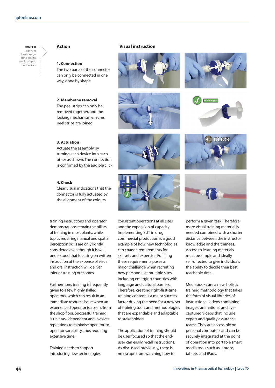

#### erile aseptic<br>connectors **1. Connection**

The two parts of the connector can only be connected in one way, done by shape

#### **2. Membrane removal**

The peel strips can only be removed together, and the locking mechanism ensures peel strips are joined

#### **Action Visual instruction**













### **3. Actuation**

Actuate the assembly by turning each device into each other as shown. The connection is confirmed by the audible click

#### **4. Check**

Clear visual indications that the connector is fully actuated by the alignment of the colours

training instructions and operator demonstrations remain the pillars of training in most plants, while topics requiring manual and spatial perception skills are only lightly considered even though it is well understood that focusing on written instruction at the expense of visual and oral instruction will deliver inferior training outcomes.

Furthermore, training is frequently given to a few highly skilled operators, which can result in an immediate resource issue when an experienced operator is absent from the shop floor. Successful training is unit task dependent and involves repetitions to minimise operator-tooperator variability, thus requiring extensive time.

Training needs to support introducing new technologies, consistent operations at all sites, and the expansion of capacity. Implementing SUT in drug commercial production is a good example of how new technologies can change requirements for skillsets and expertise. Fulfilling these requirements poses a major challenge when recruiting new personnel at multiple sites, including emerging countries with language and cultural barriers. Therefore, creating right-first-time training content is a major success factor driving the need for a new set of training tools and methodologies that are expandable and adaptable to stakeholders.

The application of training should be user focused so that the enduser can easily recall instructions. As discussed previously, there is no escape from watching how to

perform a given task. Therefore, more visual training material is needed combined with a shorter distance between the instructor knowledge and the trainees. Access to learning materials must be simple and ideally self-directed to give individuals the ability to decide their best teachable time.

Mediabooks are a new, holistic training methodology that takes the form of visual libraries of instructional videos combining images, animations, and livecaptured videos that include expert and quality assurance teams. They are accessible on personal computers and can be securely integrated at the point of operation into portable smart media tools such as laptops, tablets, and iPads.